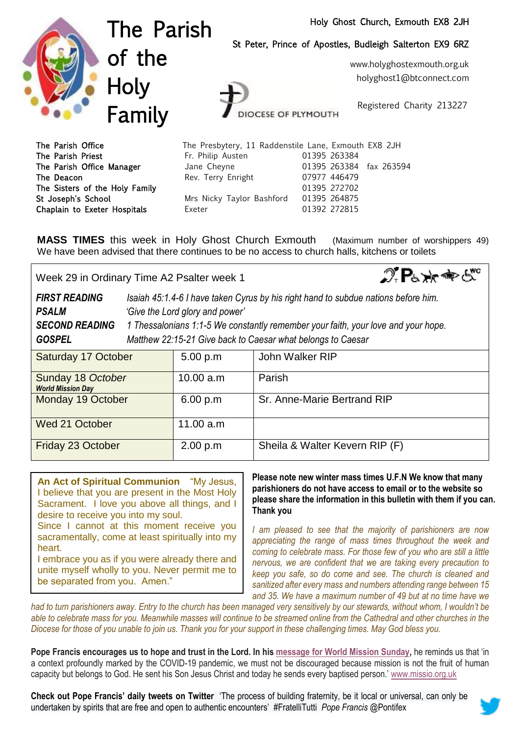## Holy Ghost Church, Exmouth EX8 2JH



The Parish of the **Holy** Family

St Peter, Prince of Apostles, Budleigh Salterton EX9 6RZ

www.holyghostexmouth.org.uk holyghost1@btconnect.com

Registered Charity 213227

| The Parish Office              | The Presbytery, 11 Raddenstile Lane, Exmouth EX8 2JH |                         |  |
|--------------------------------|------------------------------------------------------|-------------------------|--|
| The Parish Priest              | Fr. Philip Austen                                    | 01395 263384            |  |
| The Parish Office Manager      | Jane Cheyne                                          | 01395 263384 fax 263594 |  |
| The Deacon                     | Rev. Terry Enright                                   | 07977 446479            |  |
| The Sisters of the Holy Family |                                                      | 01395 272702            |  |
| St Joseph's School             | Mrs Nicky Taylor Bashford                            | 01395 264875            |  |
| Chaplain to Exeter Hospitals   | Exeter                                               | 01392 272815            |  |

**DCESE OF PLYMOUTH** 

**MASS TIMES** this week in Holy Ghost Church Exmouth (Maximum number of worshippers 49) We have been advised that there continues to be no access to church halls, kitchens or toilets

 $\mathcal{D}$   $\mathsf{P}_{6} \times \mathsf{P}_{6}$ Week 29 in Ordinary Time A2 Psalter week 1 *FIRST READING Isaiah 45:1.4-6 I have taken Cyrus by his right hand to subdue nations before him. PSALM 'Give the Lord glory and power' SECOND READING 1 Thessalonians 1:1-5 We constantly remember your faith, your love and your hope. GOSPEL Matthew 22:15-21 Give back to Caesar what belongs to Caesar* 

| Saturday 17 October                           | 5.00 p.m  | John Walker RIP                |
|-----------------------------------------------|-----------|--------------------------------|
| Sunday 18 October<br><b>World Mission Day</b> | 10.00 a.m | Parish                         |
| Monday 19 October                             | 6.00 p.m  | Sr. Anne-Marie Bertrand RIP    |
| Wed 21 October                                | 11.00 a.m |                                |
| Friday 23 October                             | 2.00 p.m  | Sheila & Walter Kevern RIP (F) |

**An Act of Spiritual Communion** "My Jesus, I believe that you are present in the Most Holy Sacrament. I love you above all things, and I desire to receive you into my soul. Since I cannot at this moment receive you sacramentally, come at least spiritually into my heart. I embrace you as if you were already there and

unite myself wholly to you. Never permit me to be separated from you. Amen."

**Please note new winter mass times U.F.N We know that many parishioners do not have access to email or to the website so please share the information in this bulletin with them if you can. Thank you**

*I am pleased to see that the majority of parishioners are now appreciating the range of mass times throughout the week and coming to celebrate mass. For those few of you who are still a little nervous, we are confident that we are taking every precaution to keep you safe, so do come and see. The church is cleaned and sanitized after every mass and numbers attending range between 15 and 35. We have a maximum number of 49 but at no time have we* 

*had to turn parishioners away. Entry to the church has been managed very sensitively by our stewards, without whom, I wouldn't be*  able to celebrate mass for you. Meanwhile masses will continue to be streamed online from the Cathedral and other churches in the *Diocese for those of you unable to join us. Thank you for your support in these challenging times. May God bless you.* 

Pope Francis encourages us to hope and trust in the Lord. In his [message](https://missio.org.uk/world-mission-sunday/world-mission-sunday-2020/) for World Mission Sunday, he reminds us that 'in a context profoundly marked by the COVID-19 pandemic, we must not be discouraged because mission is not the fruit of human capacity but belongs to God. He sent his Son Jesus Christ and today he sends every baptised person.' [www.missio.org.uk](http://www.missio.org.uk/)

**Check out Pope Francis' daily tweets on Twitter** 'The process of building fraternity, be it local or universal, can only be undertaken by spirits that are free and open to authentic encounters' #FratelliTutti *Pope Francis* @Pontifex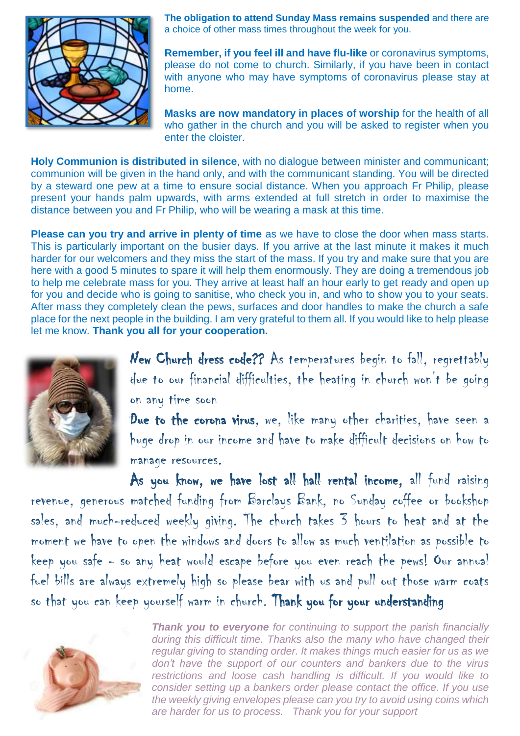

**The obligation to attend Sunday Mass remains suspended** and there are a choice of other mass times throughout the week for you.

**Remember, if you feel ill and have flu-like** or coronavirus symptoms, please do not come to church. Similarly, if you have been in contact with anyone who may have symptoms of coronavirus please stay at home.

**Masks are now mandatory in places of worship** for the health of all who gather in the church and you will be asked to register when you enter the cloister.

**Holy Communion is distributed in silence**, with no dialogue between minister and communicant; communion will be given in the hand only, and with the communicant standing. You will be directed by a steward one pew at a time to ensure social distance. When you approach Fr Philip, please present your hands palm upwards, with arms extended at full stretch in order to maximise the distance between you and Fr Philip, who will be wearing a mask at this time.

**Please can you try and arrive in plenty of time** as we have to close the door when mass starts. This is particularly important on the busier days. If you arrive at the last minute it makes it much harder for our welcomers and they miss the start of the mass. If you try and make sure that you are here with a good 5 minutes to spare it will help them enormously. They are doing a tremendous job to help me celebrate mass for you. They arrive at least half an hour early to get ready and open up for you and decide who is going to sanitise, who check you in, and who to show you to your seats. After mass they completely clean the pews, surfaces and door handles to make the church a safe place for the next people in the building. I am very grateful to them all. If you would like to help please let me know. **Thank you all for your cooperation.**



New Church dress code?? As temperatures begin to fall, regrettably due to our financial difficulties, the heating in church won't be going on any time soon

Due to the corona virus, we, like many other charities, have seen a huge drop in our income and have to make difficult decisions on how to manage resources.

As you know, we have lost all hall rental income, all fund raising revenue, generous matched funding from Barclays Bank, no Sunday coffee or bookshop sales, and much-reduced weekly giving. The church takes 3 hours to heat and at the moment we have to open the windows and doors to allow as much ventilation as possible to keep you safe - so any heat would escape before you even reach the pews! Our annual fuel bills are always extremely high so please bear with us and pull out those warm coats so that you can keep yourself warm in church. Thank you for your understanding



*Thank you to everyone for continuing to support the parish financially during this difficult time. Thanks also the many who have changed their regular giving to standing order. It makes things much easier for us as we don't have the support of our counters and bankers due to the virus restrictions and loose cash handling is difficult. If you would like to consider setting up a bankers order please contact the office. If you use the weekly giving envelopes please can you try to avoid using coins which are harder for us to process. Thank you for your support*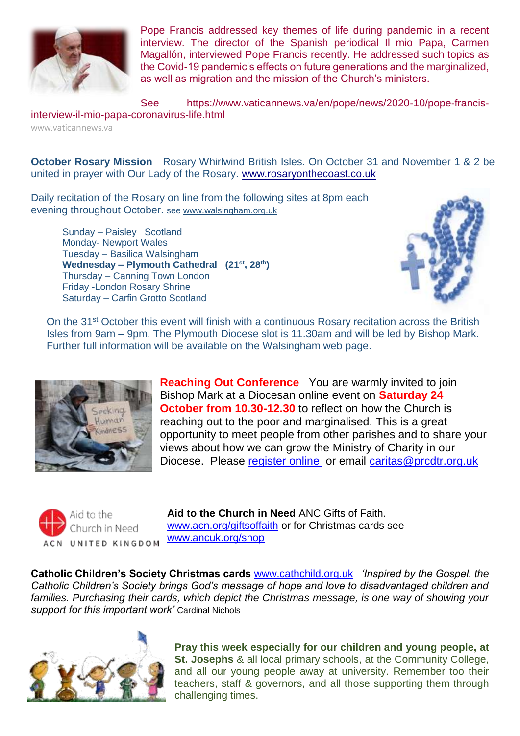

Pope Francis [addressed](https://www.vaticannews.va/en/pope/news/2020-10/pope-francis-interview-il-mio-papa-coronavirus-life.html) key themes of life during pandemic in a recent [interview.](https://www.vaticannews.va/en/pope/news/2020-10/pope-francis-interview-il-mio-papa-coronavirus-life.html) The director of the Spanish periodical Il mio Papa, Carmen Magallón, interviewed Pope Francis recently. He addressed such topics as the Covid-19 pandemic's effects on future generations and the marginalized, as well as migration and the mission of the Church's ministers.

See https://www.vaticannews.va/en/pope/news/2020-10/pope-francisinterview-il-mio-papa-coronavirus-life.html

www.vaticannews.va

**October Rosary Mission** Rosary Whirlwind British Isles. On October 31 and November 1 & 2 be united in prayer with Our Lady of the Rosary. [www.rosaryonthecoast.co.uk](http://www.rosaryonthecoast.co.uk/)

Daily recitation of the Rosary on line from the following sites at 8pm each evening throughout October. see [www.walsingham.org.uk](http://www.walsingham.org.uk/)

Sunday – Paisley Scotland Monday- Newport Wales Tuesday – Basilica Walsingham **Wednesday – Plymouth Cathedral (21st, 28th)** Thursday – Canning Town London Friday -London Rosary Shrine Saturday – Carfin Grotto Scotland



On the 31<sup>st</sup> October this event will finish with a continuous Rosary recitation across the British Isles from 9am – 9pm. The Plymouth Diocese slot is 11.30am and will be led by Bishop Mark. Further full information will be available on the Walsingham web page.



**Reaching Out Conference** You are warmly invited to join Bishop Mark at a Diocesan online event on **Saturday 24 October from 10.30-12.30** to reflect on how the Church is reaching out to the poor and marginalised. This is a great opportunity to meet people from other parishes and to share your views about how we can grow the Ministry of Charity in our Diocese. Please [register online](https://forms.office.com/Pages/ResponsePage.aspx?id=KidbqQHRkEKiqby9p4Zaca73jzxgOQNHsGHGCFRchfhUQlBJNlc3U0hJRVpUVElJWFNaVEdXVFpQRSQlQCN0PWcu) or email [caritas@prcdtr.org.uk](mailto:caritas@prcdtr.org.uk)



**Aid to the Church in Need** ANC Gifts of Faith. [www.acn.org/giftsoffaith](http://www.acn.org/giftsoffaith) or for Christmas cards see [www.ancuk.org/shop](http://www.ancuk.org/shop) 

**Catholic Children's Society Christmas cards** [www.cathchild.org.uk](http://www.cathchild.org.uk/) *'Inspired by the Gospel, the Catholic Children's Society brings God's message of hope and love to disadvantaged children and families. Purchasing their cards, which depict the Christmas message, is one way of showing your support for this important work'* Cardinal Nichols



**Pray this week especially for our children and young people, at St. Josephs** & all local primary schools, at the Community College, and all our young people away at university. Remember too their teachers, staff & governors, and all those supporting them through challenging times.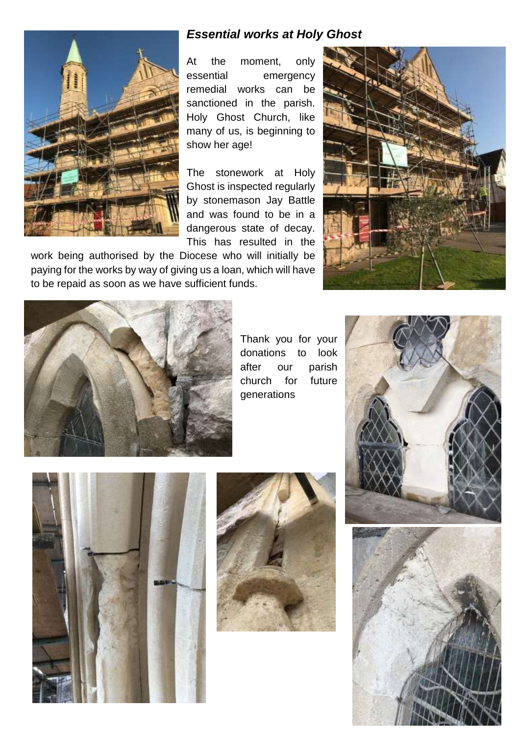

## *Essential works at Holy Ghost*

At the moment, only essential emergency remedial works can be sanctioned in the parish. Holy Ghost Church, like many of us, is beginning to show her age!

The stonework at Holy Ghost is inspected regularly by stonemason Jay Battle and was found to be in a dangerous state of decay. This has resulted in the

work being authorised by the Diocese who will initially be paying for the works by way of giving us a loan, which will have to be repaid as soon as we have sufficient funds.





Thank you for your donations to look after our parish church for future generations





![](_page_3_Picture_10.jpeg)

![](_page_3_Picture_11.jpeg)